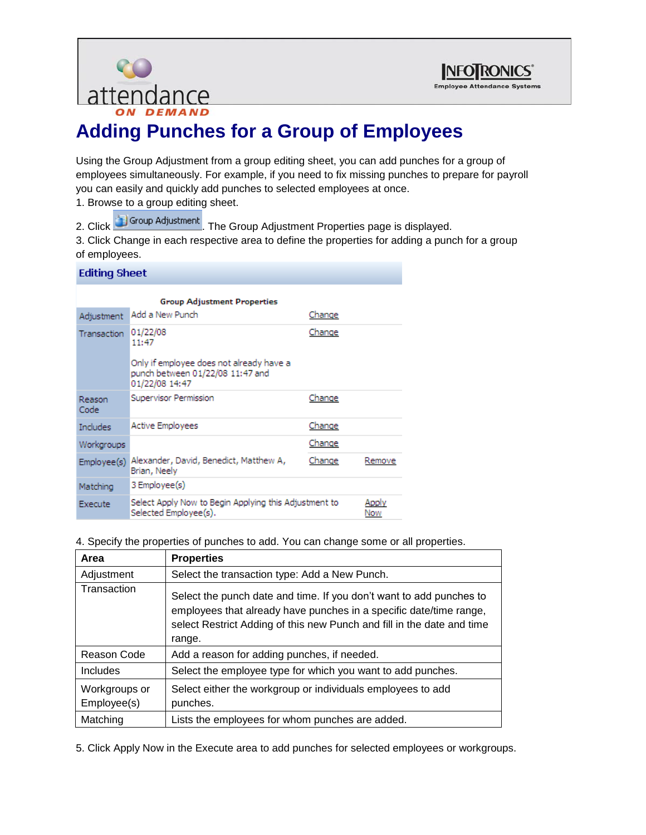



# **Adding Punches for a Group of Employees**

Using the Group Adjustment from a group editing sheet, you can add punches for a group of employees simultaneously. For example, if you need to fix missing punches to prepare for payroll you can easily and quickly add punches to selected employees at once.

- 1. Browse to a group editing sheet.
	-
- 2. Click **in Group Adjustment** The Group Adjustment Properties page is displayed.

3. Click Change in each respective area to define the properties for adding a punch for a group of employees.

#### **Editing Sheet**

| <b>Group Adjustment Properties</b> |                                                                                |        |              |
|------------------------------------|--------------------------------------------------------------------------------|--------|--------------|
| Adjustment                         | Add a New Punch                                                                | Change |              |
| Transaction                        | 01/22/08<br>11:47<br>Only if employee does not already have a                  | Change |              |
|                                    | punch between 01/22/08 11:47 and<br>01/22/08 14:47                             |        |              |
| Reason<br>Code                     | Supervisor Permission                                                          | Change |              |
| Includes                           | <b>Active Employees</b>                                                        | Change |              |
| Workgroups                         |                                                                                | Change |              |
| Employee(s)                        | Alexander, David, Benedict, Matthew A,<br>Brian, Neely                         | Change | Remove       |
| Matching                           | 3 Employee(s)                                                                  |        |              |
| Execute                            | Select Apply Now to Begin Applying this Adjustment to<br>Selected Employee(s). |        | Apply<br>Now |

4. Specify the properties of punches to add. You can change some or all properties.

| Area                         | <b>Properties</b>                                                                                                                                                                                                             |  |
|------------------------------|-------------------------------------------------------------------------------------------------------------------------------------------------------------------------------------------------------------------------------|--|
| Adjustment                   | Select the transaction type: Add a New Punch.                                                                                                                                                                                 |  |
| Transaction                  | Select the punch date and time. If you don't want to add punches to<br>employees that already have punches in a specific date/time range,<br>select Restrict Adding of this new Punch and fill in the date and time<br>range. |  |
| Reason Code                  | Add a reason for adding punches, if needed.                                                                                                                                                                                   |  |
| <b>Includes</b>              | Select the employee type for which you want to add punches.                                                                                                                                                                   |  |
| Workgroups or<br>Employee(s) | Select either the workgroup or individuals employees to add<br>punches.                                                                                                                                                       |  |
| Matching                     | Lists the employees for whom punches are added.                                                                                                                                                                               |  |

5. Click Apply Now in the Execute area to add punches for selected employees or workgroups.